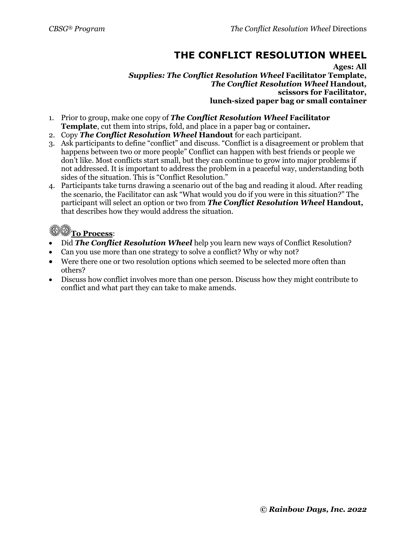## **THE CONFLICT RESOLUTION WHEEL**

**Ages: All** *Supplies: The Conflict Resolution Wheel* **Facilitator Template,** *The Conflict Resolution Wheel* **Handout***,* **scissors for Facilitator, lunch-sized paper bag or small container**

- 1. Prior to group, make one copy of *The Conflict Resolution Wheel* **Facilitator Template**, cut them into strips, fold, and place in a paper bag or container*.*
- 2. Copy *The Conflict Resolution Wheel* **Handout** for each participant.
- 3. Ask participants to define "conflict" and discuss. "Conflict is a disagreement or problem that happens between two or more people" Conflict can happen with best friends or people we don't like. Most conflicts start small, but they can continue to grow into major problems if not addressed. It is important to address the problem in a peaceful way, understanding both sides of the situation. This is "Conflict Resolution."
- 4. Participants take turns drawing a scenario out of the bag and reading it aloud. After reading the scenario, the Facilitator can ask "What would you do if you were in this situation?" The participant will select an option or two from *The Conflict Resolution Wheel* **Handout,** that describes how they would address the situation.

## **To Process**:

- Did *The Conflict Resolution Wheel* help you learn new ways of Conflict Resolution?
- Can you use more than one strategy to solve a conflict? Why or why not?
- Were there one or two resolution options which seemed to be selected more often than others?
- Discuss how conflict involves more than one person. Discuss how they might contribute to conflict and what part they can take to make amends.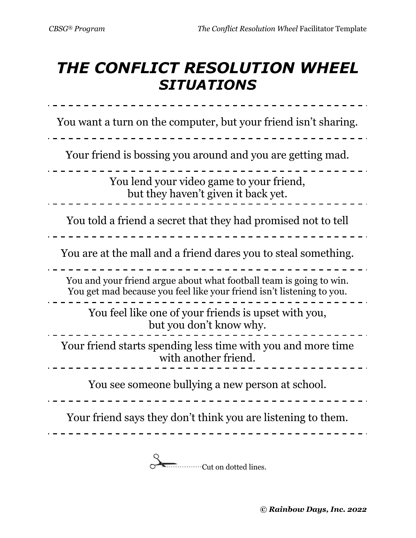## *THE CONFLICT RESOLUTION WHEEL SITUATIONS*

You want a turn on the computer, but your friend isn't sharing. Your friend is bossing you around and you are getting mad. You lend your video game to your friend, but they haven't given it back yet. You told a friend a secret that they had promised not to tell You are at the mall and a friend dares you to steal something. You and your friend argue about what football team is going to win. You get mad because you feel like your friend isn't listening to you. You feel like one of your friends is upset with you, but you don't know why. . <u>. . . . . . . . . . .</u> . Your friend starts spending less time with you and more time with another friend. You see someone bullying a new person at school. Your friend says they don't think you are listening to them. \_\_\_\_\_\_\_\_\_\_\_\_\_\_\_\_\_\_\_\_\_\_\_\_\_\_\_\_\_\_\_

**Cut on dotted lines.**